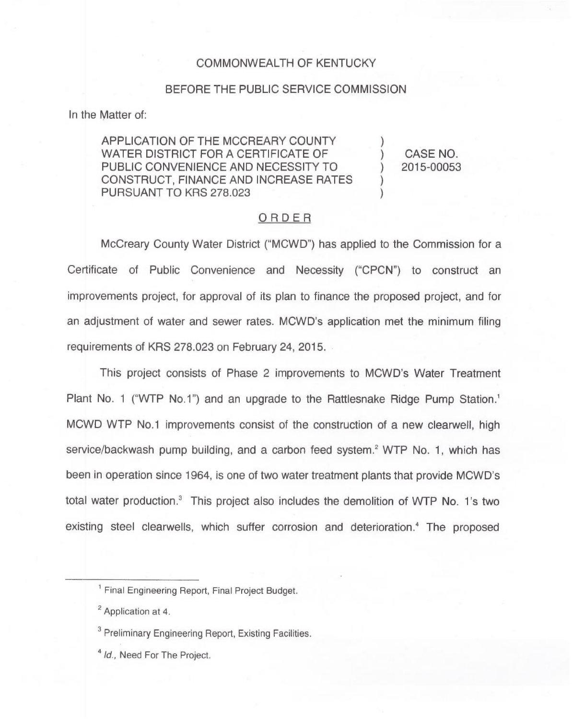## COMMONWEALTH OF KENTUCKY

#### BEFORE THE PUBLIC SERVICE COMMISSION

In the Matter of

APPLICATION OF THE MCCREARY COUNTY WATER DISTRICT FOR A CERTIFICATE OF PUBLIC CONVENIENCE AND NECESSITY TO CONSTRUCT, FINANCE AND INCREASE RATES PURSUANT TO KRS 278.023

) CASE NO. ) 2015-00053

)

) )

## ORDER

McCreary County Water District ("MCWD") has applied to the Commission for a Certificate of Public Convenience and Necessity ("CPCN") to construct an improvements project, for approval of its plan to finance the proposed project, and for an adjustment of water and sewer rates. MCWD's application met the minimum filing requirements of KRS 278.023 on February 24, 2015.

This project consists of Phase 2 improvements to MCWD's Water Treatment Plant No. 1 ("WTP No.1") and an upgrade to the Rattlesnake Ridge Pump Station.<sup>1</sup> MCWD WTP No.1 improvements consist of the construction of a new clearwell, high service/backwash pump building, and a carbon feed system.<sup>2</sup> WTP No. 1, which has been in operation since 1964, is one of two water treatment plants that provide MCWD's total water production.<sup>3</sup> This project also includes the demolition of WTP No. 1's two existing steel clearwells, which suffer corrosion and deterioration.<sup>4</sup> The proposed

<sup>4</sup> Id., Need For The Project.

<sup>&</sup>lt;sup>1</sup> Final Engineering Report, Final Project Budget.

<sup>&</sup>lt;sup>2</sup> Application at 4.

<sup>&</sup>lt;sup>3</sup> Preliminary Engineering Report, Existing Facilities.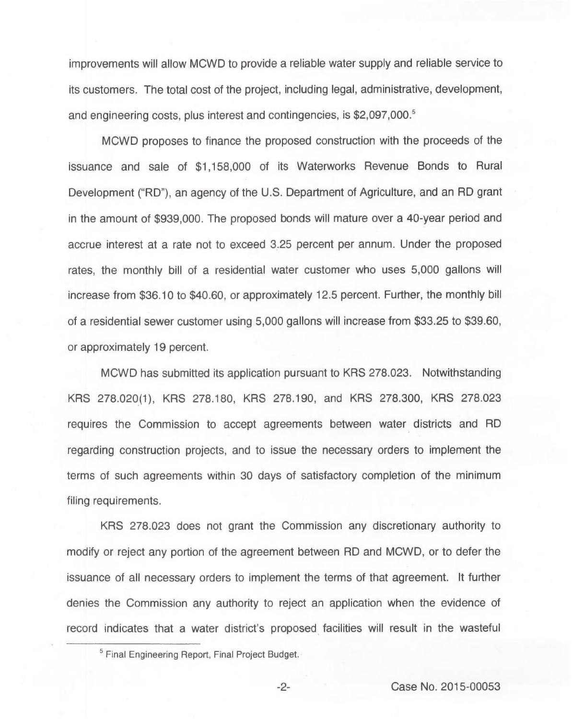improvements will allow MCWD to provide a reliable water supply and reliable service to its customers. The total cost of the project, including legal, administrative, development, and engineering costs, plus interest and contingencies, is \$2,097,000.<sup>5</sup>

MCWD proposes to finance the proposed construction with the proceeds of the issuance and sale of \$1,158,000 of its Waterworks Revenue Bonds to Rural Development ("RD"), an agency of the U.S. Department of Agriculture, and an RD grant in the amount of \$939,000. The proposed bonds will mature over a 40-year period and accrue interest at a rate not to exceed 3.25 percent per annum. Under the proposed rates, the monthly bill of a residential water customer who uses 5,000 gallons will increase from \$36.10 to \$40.60, or approximately 12.5 percent. Further, the monthly bill of a residential sewer customer using 5,000 gallons will increase from \$33.25 to \$39.60, or approximately 19 percent.

MCWD has submitted its application pursuant to KRS 278.023. Notwithstanding KRS 278.020(1), KRS 278.180, KRS 278.190, and KRS 278.300, KRS 278.023 requires the Commission to accept agreements between water districts and RD regarding construction projects, and to issue the necessary orders to implement the terms of such agreements within 30 days of satisfactory completion of the minimum filing requirements.

KRS 278.023 does not grant the Commission any discretionary authority to modify or reject any portion of the agreement between RD and MCWD, or to defer the issuance of all necessary orders to implement the terms of that agreement. It further denies the Commission any authority to reject an application when the evidence of record indicates that a water district's proposed facilities will result in the wasteful

 $-2-$ 

<sup>&</sup>lt;sup>5</sup> Final Engineering Report, Final Project Budget.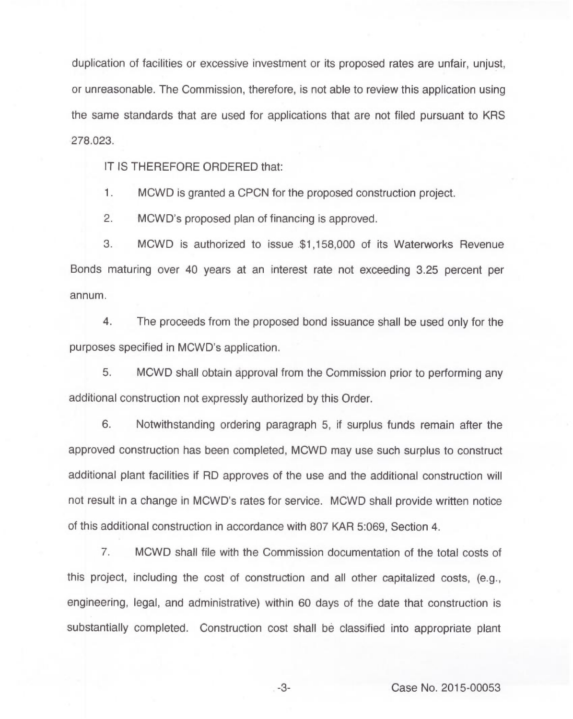duplication of facilities or excessive investment or its proposed rates are unfair, unjust, or unreasonable. The Commission, therefore, is not able to review this application using the same standards that are used for applications that are not filed pursuant to KRS 278.023.

IT IS THEREFORE ORDERED that:

 $\mathbf{1}$ . MCWD is granted a CPCN for the proposed construction project.

2. MCWD's proposed plan of financing is approved.

3. MCWD is authorized to issue \$1,158,000 of its Waterworks Revenue Bonds maturing over 40 years at an interest rate not exceeding 3.25 percent per annum.

4. The proceeds from the proposed bond issuance shall be used only for the purposes specified in MCWD's application.

5. MCWD shall obtain approval from the Commission prior to performing any additional construction not expressly authorized by this Order.

6. Notwithstanding ordering paragraph 5, if surplus funds remain after the approved construction has been completed, MCWD may use such surplus to construct additional plant facilities if RD approves of the use and the additional construction will not result in a change in MCWD's rates for service. MCWD shall provide written notice of this additional construction in accordance with 807 KAR 5:069, Section 4.

7. MCWD shall file with the Commission documentation of the total costs of this project, including the cost of construction and all other capitalized costs, (e.g., engineering, legal, and administrative) within 60 days of the date that construction is substantially completed. Construction cost shall be classified into appropriate plant

 $-3-$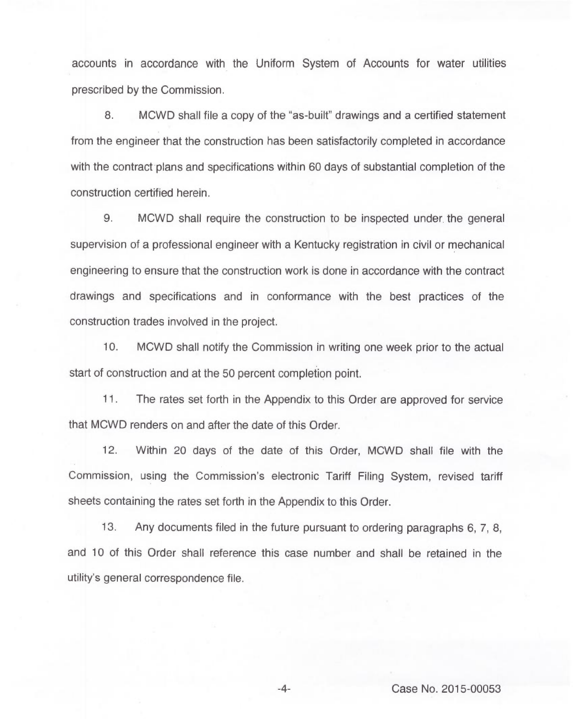accounts in accordance with the Uniform System of Accounts for water utilities prescribed by the Commission.

8. MCWD shall file a copy of the "as-built" drawings and a certified statement from the engineer that the construction has been satisfactorily completed in accordance with the contract plans and specifications within 60 days of substantial completion of the construction certified herein.

9. MCWD shall require the construction to be inspected under the general supervision of a professional engineer with a Kentucky registration in civil or mechanical engineering to ensure that the construction work is done in accordance with the contract drawings and specifications and in conformance with the best practices of the construction trades involved in the project.

10. MCWD shall notify the Commission in writing one week prior to the actual start of construction and at the 50 percent completion point.

11. The rates set forth in the Appendix to this Order are approved for service that MCWD renders on and after the date of this Order.

12. Within 20 days of the date of this Order, MCWD shall file with the Commission, using the Commission's electronic Tariff Filing System, revised tariff sheets containing the rates set forth in the Appendix to this Order.

13. Any documents filed in the future pursuant to ordering paragraphs 6, 7, 8, and 10 of this Order shall reference this case number and shall be retained in the utility's general correspondence file.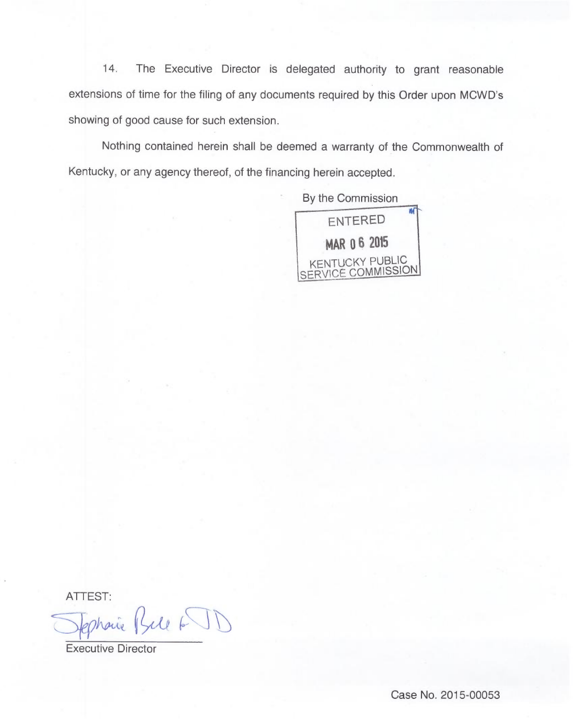14. The Executive Director is delegated authority to grant reasonable extensions of time for the filing of any documents required by this Order upon MCWD's showing of good cause for such extension.

Nothing contained herein shall be deemed a warranty of the Commonwealth of Kentucky, or any agency thereof, of the financing herein accepted.

By the Commission



ATTEST

Ephanic Bile 6 JD

Executive Director

Case No. 2015-00053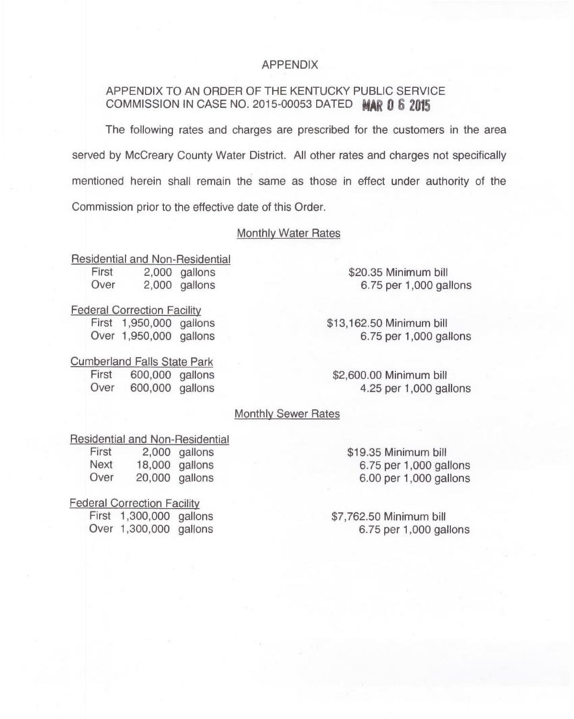## APPENDIX

## APPENDIX TO AN ORDER OF THE KENTUCKY PUBLIC SERVICE COMMISSION IN CASE NO. 2015-00053 DATED  $MAP$  0 6 2015

The following rates and charges are prescribed for the customers in the area served by McCreary County Water District. All other rates and charges not specifically mentioned herein shall remain the same as those in effect under authority of the Commission prior to the effective date of this Order.

## Monthly Water Rates

Residential and Non-Residential First 2,000 gallons<br>Over 2.000 gallons

\$20.35 Minimum bill 6.75 per 1,000 gallons

Federal Correction Facilit

First 1,950,000 gallons Over 1,950,000 gallons

\$13,162.50Minimum bill 6.75 per 1,000 gallons

\$2,600.00 Minimum bill 4.25 per 1,000 gallons

## Monthly Sewer Rates

#### Residential and Non-Residential

First 2,000 gallons<br>Next 18,000 gallons Next 18,000 gallons<br>Over 20,000 gallons  $20,000$  gallons

\$19.35Minimum bill 6.75 per 1,000 gallons 6.00 per 1,000 gallons

\$7,762.50 Minimum bill 6.75 per 1,000 gallons

Federal Correction Facilit

First 1,300,000 gallons Over 1,300,000 gallons

# **Cumberland Falls State Park**<br>First 600,000 gallons

First 600,000 gallons<br>Over 600.000 gallons 600,000 gallons

 $2,000$  gallons